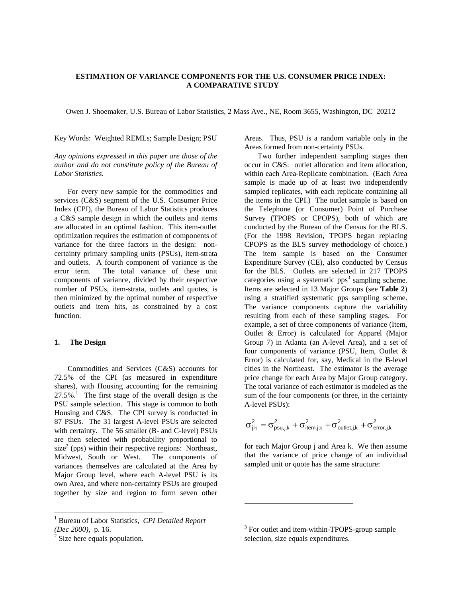# **ESTIMATION OF VARIANCE COMPONENTS FOR THE U.S. CONSUMER PRICE INDEX: A COMPARATIVE STUDY**

Owen J. Shoemaker, U.S. Bureau of Labor Statistics, 2 Mass Ave., NE, Room 3655, Washington, DC 20212

Key Words: Weighted REMLs; Sample Design; PSU

*Any opinions expressed in this paper are those of the author and do not constitute policy of the Bureau of Labor Statistics.* 

 For every new sample for the commodities and services (C&S) segment of the U.S. Consumer Price Index (CPI), the Bureau of Labor Statistics produces a C&S sample design in which the outlets and items are allocated in an optimal fashion. This item-outlet optimization requires the estimation of components of variance for the three factors in the design: noncertainty primary sampling units (PSUs), item-strata and outlets. A fourth component of variance is the error term. The total variance of these unit components of variance, divided by their respective number of PSUs, item-strata, outlets and quotes, is then minimized by the optimal number of respective outlets and item hits, as constrained by a cost function.

## **1. The Design**

 Commodities and Services (C&S) accounts for 72.5% of the CPI (as measured in expenditure shares), with Housing accounting for the remaining  $27.5\%$ <sup>1</sup>. The first stage of the overall design is the PSU sample selection. This stage is common to both Housing and C&S. The CPI survey is conducted in 87 PSUs. The 31 largest A-level PSUs are selected with certainty. The 56 smaller (B- and C-level) PSUs are then selected with probability proportional to  $size<sup>2</sup>$  (pps) within their respective regions: Northeast, Midwest, South or West. The components of variances themselves are calculated at the Area by Major Group level, where each A-level PSU is its own Area, and where non-certainty PSUs are grouped together by size and region to form seven other

Areas. Thus, PSU is a random variable only in the Areas formed from non-certainty PSUs.

 Two further independent sampling stages then occur in C&S: outlet allocation and item allocation, within each Area-Replicate combination. (Each Area sample is made up of at least two independently sampled replicates, with each replicate containing all the items in the CPI.) The outlet sample is based on the Telephone (or Consumer) Point of Purchase Survey (TPOPS or CPOPS), both of which are conducted by the Bureau of the Census for the BLS. (For the 1998 Revision, TPOPS began replacing CPOPS as the BLS survey methodology of choice.) The item sample is based on the Consumer Expenditure Survey (CE), also conducted by Census for the BLS. Outlets are selected in 217 TPOPS categories using a systematic  $pps<sup>3</sup>$  sampling scheme. Items are selected in 13 Major Groups (see **Table 2**) using a stratified systematic pps sampling scheme. The variance components capture the variability resulting from each of these sampling stages. For example, a set of three components of variance (Item, Outlet & Error) is calculated for Apparel (Major Group 7) in Atlanta (an A-level Area), and a set of four components of variance (PSU, Item, Outlet & Error) is calculated for, say, Medical in the B-level cities in the Northeast. The estimator is the average price change for each Area by Major Group category. The total variance of each estimator is modeled as the sum of the four components (or three, in the certainty A-level PSUs):

$$
\sigma_{j,k}^2 = \sigma_{psu,j,k}^2 + \sigma_{item,j,k}^2 + \sigma_{outlet,j,k}^2 + \sigma_{error,j,k}^2
$$

for each Major Group j and Area k. We then assume that the variance of price change of an individual sampled unit or quote has the same structure:

 $\overline{\phantom{a}}$ 

 1 Bureau of Labor Statistics, *CPI Detailed Report (Dec 2000)*, p. 16.

 $2$  Size here equals population.

<sup>&</sup>lt;sup>3</sup> For outlet and item-within-TPOPS-group sample selection, size equals expenditures.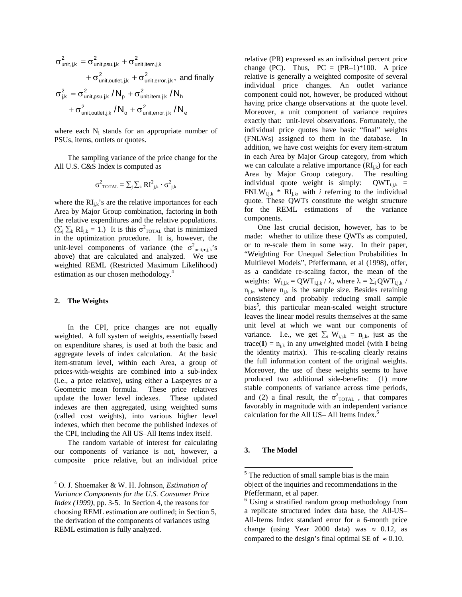$$
\begin{aligned} \sigma_{unit,j,k}^2 &= \sigma_{unit,psu,j,k}^2 + \sigma_{unit,item,j,k}^2 \\ &\phantom{=} + \sigma_{unit,outlet,j,k}^2 + \sigma_{unit,error,j,k}^2, \ \text{and finally} \\ \sigma_{j,k}^2 &= \sigma_{unit,psu,j,k}^2 \ / \ N_p + \sigma_{unit,item,j,k}^2 \ / \ N_h \\ &\phantom{=} + \sigma_{unit,outlet,j,k}^2 \ / \ N_o + \sigma_{unit,error,j,k}^2 \ / \ N_e \end{aligned}
$$

where each  $N_i$  stands for an appropriate number of PSUs, items, outlets or quotes.

 The sampling variance of the price change for the All U.S. C&S Index is computed as

$$
\sigma^2_{\text{TOTAL}} = \sum_j \sum_k RI_{j,k}^2 \cdot \sigma_{j,k}^2
$$

where the  $RI_{ik}$ 's are the relative importances for each Area by Major Group combination, factoring in both the relative expenditures and the relative populations.  $(\sum_j \sum_k \text{RI}_{j,k} = 1.)$  It is this  $\sigma^2_{\text{TOTAL}}$  that is minimized in the optimization procedure. It is, however, the unit-level components of variance (the  $\sigma^2$ <sub>unit,•j,k</sub>'s above) that are calculated and analyzed. We use weighted REML (Restricted Maximum Likelihood) estimation as our chosen methodology.<sup>4</sup>

## **2. The Weights**

 $\overline{\phantom{a}}$ 

 In the CPI, price changes are not equally weighted. A full system of weights, essentially based on expenditure shares, is used at both the basic and aggregate levels of index calculation. At the basic item-stratum level, within each Area, a group of prices-with-weights are combined into a sub-index (i.e., a price relative), using either a Laspeyres or a Geometric mean formula. These price relatives update the lower level indexes. These updated indexes are then aggregated, using weighted sums (called cost weights), into various higher level indexes, which then become the published indexes of the CPI, including the All US–All Items index itself.

 The random variable of interest for calculating our components of variance is not, however, a composite price relative, but an individual price

relative (PR) expressed as an individual percent price change (PC). Thus,  $PC = (PR-1)*100$ . A price relative is generally a weighted composite of several individual price changes. An outlet variance component could not, however, be produced without having price change observations at the quote level. Moreover, a unit component of variance requires exactly that: unit-level observations. Fortunately, the individual price quotes have basic "final" weights (FNLWs) assigned to them in the database. In addition, we have cost weights for every item-stratum in each Area by Major Group category, from which we can calculate a relative importance  $(RI_{ik})$  for each Area by Major Group category. The resulting individual quote weight is simply:  $QWT_{i,i,k}$  =  $\text{FNLW}_{\text{i},ik}$  \*  $\text{RI}_{ik}$ , with *i* referring to the individual quote. These QWTs constitute the weight structure for the REML estimations of the variance components.

 One last crucial decision, however, has to be made: whether to utilize these QWTs as computed, or to re-scale them in some way. In their paper, "Weighting For Unequal Selection Probabilities In Multilevel Models", Pfeffermann, et al (1998), offer, as a candidate re-scaling factor, the mean of the weights:  $W_{i,j,k} = QWT_{i,j,k} / \lambda$ , where  $\lambda = \sum_{i} QWT_{i,j,k} / \lambda$  $n_{i,k}$ , where  $n_{i,k}$  is the sample size. Besides retaining consistency and probably reducing small sample bias<sup>5</sup>, this particular mean-scaled weight structure leaves the linear model results themselves at the same unit level at which we want our components of variance. I.e., we get  $\Sigma_i$  W<sub>i,j,k</sub> = n<sub>j,k</sub>, just as the trace( $I$ ) =  $n_{i,k}$  in any *un* weighted model (with *I* being the identity matrix). This re-scaling clearly retains the full information content of the original weights. Moreover, the use of these weights seems to have produced two additional side-benefits: (1) more stable components of variance across time periods, and (2) a final result, the  $\sigma^2_{\text{TOTAL}}$ , that compares favorably in magnitude with an independent variance calculation for the All US– All Items Index.<sup>6</sup>

### **3. The Model**

1

<sup>4</sup> O. J. Shoemaker & W. H. Johnson, *Estimation of Variance Components for the U.S. Consumer Price Index (1999)*, pp. 3-5. In Section 4, the reasons for choosing REML estimation are outlined; in Section 5, the derivation of the components of variances using REML estimation is fully analyzed.

 $<sup>5</sup>$  The reduction of small sample bias is the main</sup> object of the inquiries and recommendations in the Pfeffermann, et al paper.

<sup>6</sup> Using a stratified random group methodology from a replicate structured index data base, the All-US– All-Items Index standard error for a 6-month price change (using Year 2000 data) was  $\approx 0.12$ , as compared to the design's final optimal SE of  $\approx 0.10$ .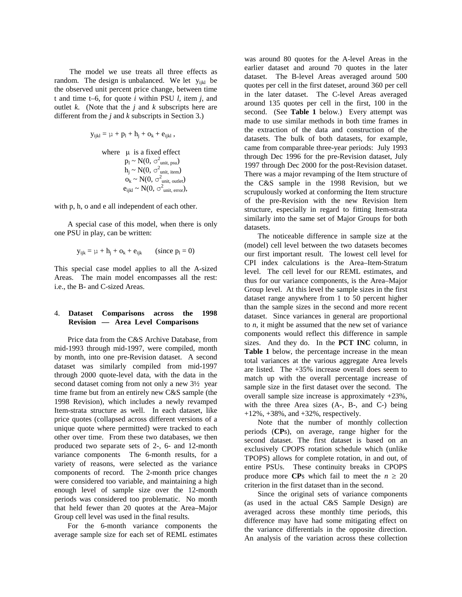The model we use treats all three effects as random. The design is unbalanced. We let  $y_{ijkl}$  be the observed unit percent price change, between time t and time t–6, for quote *i* within PSU *l*, item *j*, and outlet *k*. (Note that the *j* and *k* subscripts here are different from the *j* and *k* subscripts in Section 3.)

$$
y_{ijkl} = \mu + p_l + h_j + o_k + e_{ijkl},
$$
  
where  $\mu$  is a fixed effect  
 $p_l \sim N(0, \sigma^2_{unit, \text{psu}})$   
 $h_j \sim N(0, \sigma^2_{unit, \text{item}})$   
 $o_k \sim N(0, \sigma^2_{unit, \text{output}})$   
 $e_{ijkl} \sim N(0, \sigma^2_{unit, \text{error}})$ 

with p, h, o and e all independent of each other.

 A special case of this model, when there is only one PSU in play, can be written:

$$
y_{ijk} = \mu + h_j + o_k + e_{ijk} \qquad (since \ p_l = 0)
$$

This special case model applies to all the A-sized Areas. The main model encompasses all the rest: i.e., the B- and C-sized Areas.

## 4. **Dataset Comparisons across the 1998 Revision –– Area Level Comparisons**

 Price data from the C&S Archive Database, from mid-1993 through mid-1997, were compiled, month by month, into one pre-Revision dataset. A second dataset was similarly compiled from mid-1997 through 2000 quote-level data, with the data in the second dataset coming from not only a new 3½ year time frame but from an entirely new C&S sample (the 1998 Revision), which includes a newly revamped Item-strata structure as well. In each dataset, like price quotes (collapsed across different versions of a unique quote where permitted) were tracked to each other over time. From these two databases, we then produced two separate sets of 2-, 6- and 12-month variance components The 6-month results, for a variety of reasons, were selected as the variance components of record. The 2-month price changes were considered too variable, and maintaining a high enough level of sample size over the 12-month periods was considered too problematic. No month that held fewer than 20 quotes at the Area–Major Group cell level was used in the final results.

 For the 6-month variance components the average sample size for each set of REML estimates was around 80 quotes for the A-level Areas in the earlier dataset and around 70 quotes in the later dataset. The B-level Areas averaged around 500 quotes per cell in the first dateset, around 360 per cell in the later dataset. The C-level Areas averaged around 135 quotes per cell in the first, 100 in the second. (See **Table 1** below.) Every attempt was made to use similar methods in both time frames in the extraction of the data and construction of the datasets. The bulk of both datasets, for example, came from comparable three-year periods: July 1993 through Dec 1996 for the pre-Revision dataset, July 1997 through Dec 2000 for the post-Revision dataset. There was a major revamping of the Item structure of the C&S sample in the 1998 Revision, but we scrupulously worked at conforming the Item structure of the pre-Revision with the new Revision Item structure, especially in regard to fitting Item-strata similarly into the same set of Major Groups for both datasets.

 The noticeable difference in sample size at the (model) cell level between the two datasets becomes our first important result. The lowest cell level for CPI index calculations is the Area–Item-Stratum level. The cell level for our REML estimates, and thus for our variance components, is the Area–Major Group level. At this level the sample sizes in the first dataset range anywhere from 1 to 50 percent higher than the sample sizes in the second and more recent dataset. Since variances in general are proportional to *n*, it might be assumed that the new set of variance components would reflect this difference in sample sizes. And they do. In the **PCT INC** column, in **Table 1** below, the percentage increase in the mean total variances at the various aggregate Area levels are listed. The +35% increase overall does seem to match up with the overall percentage increase of sample size in the first dataset over the second. The overall sample size increase is approximately +23%, with the three Area sizes (A-, B-, and C-) being  $+12\%$ ,  $+38\%$ , and  $+32\%$ , respectively.

 Note that the number of monthly collection periods (**CP**s), on average, range higher for the second dataset. The first dataset is based on an exclusively CPOPS rotation schedule which (unlike TPOPS) allows for complete rotation, in and out, of entire PSUs. These continuity breaks in CPOPS produce more **CP**s which fail to meet the  $n \geq 20$ criterion in the first dataset than in the second.

 Since the original sets of variance components (as used in the actual C&S Sample Design) are averaged across these monthly time periods, this difference may have had some mitigating effect on the variance differentials in the opposite direction. An analysis of the variation across these collection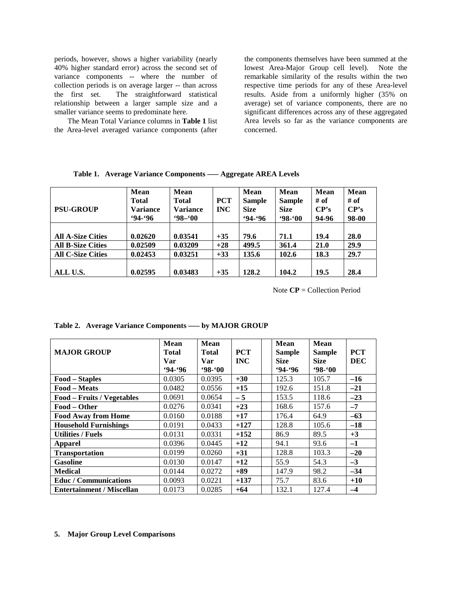periods, however, shows a higher variability (nearly 40% higher standard error) across the second set of variance components -- where the number of collection periods is on average larger -- than across the first set. The straightforward statistical relationship between a larger sample size and a smaller variance seems to predominate here.

 The Mean Total Variance columns in **Table 1** list the Area-level averaged variance components (after

the components themselves have been summed at the lowest Area-Major Group cell level). Note the remarkable similarity of the results within the two respective time periods for any of these Area-level results. Aside from a uniformly higher (35% on average) set of variance components, there are no significant differences across any of these aggregated Area levels so far as the variance components are concerned.

|                          | Mean         | <b>Mean</b> |            | <b>Mean</b>   | Mean          | Mean  | <b>Mean</b> |
|--------------------------|--------------|-------------|------------|---------------|---------------|-------|-------------|
|                          | <b>Total</b> | Total       | <b>PCT</b> | <b>Sample</b> | <b>Sample</b> | # of  | # of        |
| <b>PSU-GROUP</b>         | Variance     | Variance    | <b>INC</b> | <b>Size</b>   | <b>Size</b>   | CP's  | CP's        |
|                          | $94 - 96$    | $98 - 00$   |            | $94 - 96$     | $98 - 00$     | 94-96 | 98-00       |
|                          |              |             |            |               |               |       |             |
| <b>All A-Size Cities</b> | 0.02620      | 0.03541     | $+35$      | 79.6          | 71.1          | 19.4  | 28.0        |
| <b>All B-Size Cities</b> | 0.02509      | 0.03209     | $+28$      | 499.5         | 361.4         | 21.0  | 29.9        |
| <b>All C-Size Cities</b> | 0.02453      | 0.03251     | $+33$      | 135.6         | 102.6         | 18.3  | 29.7        |
|                          |              |             |            |               |               |       |             |
| ALL U.S.                 | 0.02595      | 0.03483     | $+35$      | 128.2         | 104.2         | 19.5  | 28.4        |

 **Table 1. Average Variance Components ––– Aggregate AREA Levels** 

Note **CP** = Collection Period

| <b>MAJOR GROUP</b>                | Mean<br><b>Total</b><br>Var<br>$94 - 96$ | <b>Mean</b><br><b>Total</b><br>Var<br>$98 - 00$ | <b>PCT</b><br><b>INC</b> | Mean<br><b>Sample</b><br><b>Size</b><br>94.96 | Mean<br><b>Sample</b><br><b>Size</b><br>$98 - 00$ | <b>PCT</b><br><b>DEC</b> |
|-----------------------------------|------------------------------------------|-------------------------------------------------|--------------------------|-----------------------------------------------|---------------------------------------------------|--------------------------|
| Food – Staples                    | 0.0305                                   | 0.0395                                          | $+30$                    | 125.3                                         | 105.7                                             | $-16$                    |
| <b>Food – Meats</b>               | 0.0482                                   | 0.0556                                          | $+15$                    | 192.6                                         | 151.8                                             | $-21$                    |
| <b>Food – Fruits / Vegetables</b> | 0.0691                                   | 0.0654                                          | $-5$                     | 153.5                                         | 118.6                                             | $-23$                    |
| Food – Other                      | 0.0276                                   | 0.0341                                          | $+23$                    | 168.6                                         | 157.6                                             | $-7$                     |
| <b>Food Away from Home</b>        | 0.0160                                   | 0.0188                                          | $+17$                    | 176.4                                         | 64.9                                              | $-63$                    |
| <b>Household Furnishings</b>      | 0.0191                                   | 0.0433                                          | $+127$                   | 128.8                                         | 105.6                                             | $-18$                    |
| <b>Utilities / Fuels</b>          | 0.0131                                   | 0.0331                                          | $+152$                   | 86.9                                          | 89.5                                              | $+3$                     |
| <b>Apparel</b>                    | 0.0396                                   | 0.0445                                          | $+12$                    | 94.1                                          | 93.6                                              | $-1$                     |
| <b>Transportation</b>             | 0.0199                                   | 0.0260                                          | $+31$                    | 128.8                                         | 103.3                                             | $-20$                    |
| <b>Gasoline</b>                   | 0.0130                                   | 0.0147                                          | $+12$                    | 55.9                                          | 54.3                                              | $-3$                     |
| <b>Medical</b>                    | 0.0144                                   | 0.0272                                          | $+89$                    | 147.9                                         | 98.2                                              | $-34$                    |
| <b>Educ / Communications</b>      | 0.0093                                   | 0.0221                                          | $+137$                   | 75.7                                          | 83.6                                              | $+10$                    |
| <b>Entertainment / Miscellan</b>  | 0.0173                                   | 0.0285                                          | $+64$                    | 132.1                                         | 127.4                                             | $-4$                     |

**Table 2. Average Variance Components ––– by MAJOR GROUP** 

# **5. Major Group Level Comparisons**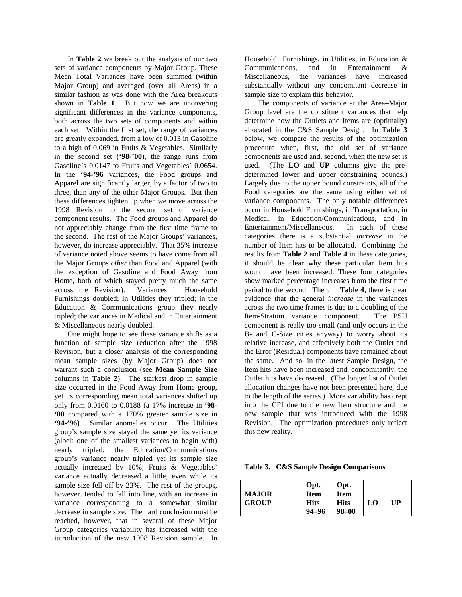In **Table 2** we break out the analysis of our two sets of variance components by Major Group. These Mean Total Variances have been summed (within Major Group) and averaged (over all Areas) in a similar fashion as was done with the Area breakouts shown in **Table 1**. But now we are uncovering significant differences in the variance components, both across the two sets of components and within each set. Within the first set, the range of variances are greatly expanded, from a low of 0.013 in Gasoline to a high of 0.069 in Fruits & Vegetables. Similarly in the second set (**'98-'00**), the range runs from Gasoline's 0.0147 to Fruits and Vegetables' 0.0654. In the **'94-'96** variances, the Food groups and Apparel are significantly larger, by a factor of two to three, than any of the other Major Groups. But then these differences tighten up when we move across the 1998 Revision to the second set of variance component results. The Food groups and Apparel do not appreciably change from the first time frame to the second. The rest of the Major Groups' variances, however, do increase appreciably. That 35% increase of variance noted above seems to have come from all the Major Groups *other* than Food and Apparel (with the exception of Gasoline and Food Away from Home, both of which stayed pretty much the same across the Revision). Variances in Household Furnishings doubled; in Utilities they tripled; in the Education & Communications group they nearly tripled; the variances in Medical and in Entertainment & Miscellaneous nearly doubled.

 One might hope to see these variance shifts as a function of sample size reduction after the 1998 Revision, but a closer analysis of the corresponding mean sample sizes (by Major Group) does not warrant such a conclusion (see **Mean Sample Size** columns in **Table 2**). The starkest drop in sample size occurred in the Food Away from Home group, yet its corresponding mean total variances shifted up only from 0.0160 to 0.0188 (a 17% increase in **'98- '00** compared with a 170% greater sample size in **'94-'96**). Similar anomalies occur. The Utilities group's sample size stayed the same yet its variance (albeit one of the smallest variances to begin with) nearly tripled; the Education/Communications group's variance nearly tripled yet its sample size actually increased by 10%; Fruits & Vegetables' variance actually decreased a little, even while its sample size fell off by 23%. The rest of the groups, however, tended to fall into line, with an increase in variance corresponding to a somewhat similar decrease in sample size. The hard conclusion must be reached, however, that in several of these Major Group categories variability has increased with the introduction of the new 1998 Revision sample. In

Household Furnishings, in Utilities, in Education & Communications, and in Entertainment & Miscellaneous, the variances have increased substantially without any concomitant decrease in sample size to explain this behavior.

 The components of variance at the Area–Major Group level are the constituent variances that help determine how the Outlets and Items are (optimally) allocated in the C&S Sample Design. In **Table 3** below, we compare the results of the optimization procedure when, first, the old set of variance components are used and, second, when the new set is used. (The **LO** and **UP** columns give the predetermined lower and upper constraining bounds.) Largely due to the upper bound constraints, all of the Food categories are the same using either set of variance components. The only notable differences occur in Household Furnishings, in Transportation, in Medical, in Education/Communications, and in Entertainment/Miscellaneous. In each of these categories there is a substantial *increase* in the number of Item hits to be allocated. Combining the results from **Table 2** and **Table 4** in these categories, it should be clear why these particular Item hits would have been increased. These four categories show marked percentage increases from the first time period to the second. Then, in **Table 4**, there is clear evidence that the general *increase* in the variances across the two time frames is due to a doubling of the Item-Stratum variance component. The PSU component is really too small (and only occurs in the B- and C-Size cities anyway) to worry about its relative increase, and effectively both the Outlet and the Error (Residual) components have remained about the same. And so, in the latest Sample Design, the Item hits have been increased and, concomitantly, the Outlet hits have decreased. (The longer list of Outlet allocation changes have not been presented here, due to the length of the series.) More variability has crept into the CPI due to the new Item structure and the new sample that was introduced with the 1998 Revision. The optimization procedures only reflect this new reality.

**Table 3. C&S Sample Design Comparisons** 

| 94-96<br>$98 - 00$ | <b>MAJOR</b><br><b>GROUP</b> | Opt.<br><b>Item</b><br><b>Hits</b> | Opt.<br><b>Item</b><br><b>Hits</b> | LO | UP |
|--------------------|------------------------------|------------------------------------|------------------------------------|----|----|
|--------------------|------------------------------|------------------------------------|------------------------------------|----|----|